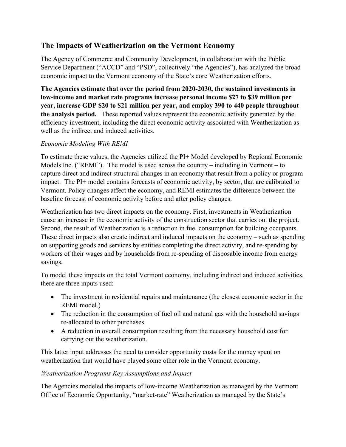# **The Impacts of Weatherization on the Vermont Economy**

The Agency of Commerce and Community Development, in collaboration with the Public Service Department ("ACCD" and "PSD", collectively "the Agencies"), has analyzed the broad economic impact to the Vermont economy of the State's core Weatherization efforts.

**The Agencies estimate that over the period from 2020-2030, the sustained investments in low-income and market rate programs increase personal income \$27 to \$39 million per year, increase GDP \$20 to \$21 million per year, and employ 390 to 440 people throughout the analysis period.** These reported values represent the economic activity generated by the efficiency investment, including the direct economic activity associated with Weatherization as well as the indirect and induced activities.

### *Economic Modeling With REMI*

To estimate these values, the Agencies utilized the PI+ Model developed by Regional Economic Models Inc. ("REMI"). The model is used across the country – including in Vermont – to capture direct and indirect structural changes in an economy that result from a policy or program impact. The PI+ model contains forecasts of economic activity, by sector, that are calibrated to Vermont. Policy changes affect the economy, and REMI estimates the difference between the baseline forecast of economic activity before and after policy changes.

Weatherization has two direct impacts on the economy. First, investments in Weatherization cause an increase in the economic activity of the construction sector that carries out the project. Second, the result of Weatherization is a reduction in fuel consumption for building occupants. These direct impacts also create indirect and induced impacts on the economy – such as spending on supporting goods and services by entities completing the direct activity, and re-spending by workers of their wages and by households from re-spending of disposable income from energy savings.

To model these impacts on the total Vermont economy, including indirect and induced activities, there are three inputs used:

- The investment in residential repairs and maintenance (the closest economic sector in the REMI model.)
- The reduction in the consumption of fuel oil and natural gas with the household savings re-allocated to other purchases.
- A reduction in overall consumption resulting from the necessary household cost for carrying out the weatherization.

This latter input addresses the need to consider opportunity costs for the money spent on weatherization that would have played some other role in the Vermont economy.

### *Weatherization Programs Key Assumptions and Impact*

The Agencies modeled the impacts of low-income Weatherization as managed by the Vermont Office of Economic Opportunity, "market-rate" Weatherization as managed by the State's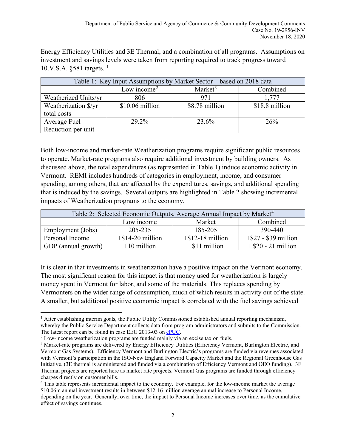Energy Efficiency Utilities and 3E Thermal, and a combination of all programs. Assumptions on investment and savings levels were taken from reporting required to track progress toward [1](#page-1-0)0.V.S.A.  $\S$ 581 targets.<sup>1</sup>

| Table 1: Key Input Assumptions by Market Sector – based on 2018 data |                         |                     |                |  |  |  |  |  |
|----------------------------------------------------------------------|-------------------------|---------------------|----------------|--|--|--|--|--|
|                                                                      | Low income <sup>2</sup> | Market <sup>3</sup> | Combined       |  |  |  |  |  |
| Weatherized Units/yr                                                 | 806                     | 971                 | 1.777          |  |  |  |  |  |
| Weatherization \$/yr                                                 | \$10.06 million         | \$8.78 million      | \$18.8 million |  |  |  |  |  |
| total costs                                                          |                         |                     |                |  |  |  |  |  |
| Average Fuel                                                         | 29.2%                   |                     | 26%            |  |  |  |  |  |
| Reduction per unit                                                   |                         |                     |                |  |  |  |  |  |

Both low-income and market-rate Weatherization programs require significant public resources to operate. Market-rate programs also require additional investment by building owners. As discussed above, the total expenditures (as represented in Table 1) induce economic activity in Vermont. REMI includes hundreds of categories in employment, income, and consumer spending, among others, that are affected by the expenditures, savings, and additional spending that is induced by the savings. Several outputs are highlighted in Table 2 showing incremental impacts of Weatherization programs to the economy.

| Table 2: Selected Economic Outputs, Average Annual Impact by Market <sup>4</sup> |                     |                     |                         |  |  |  |  |
|----------------------------------------------------------------------------------|---------------------|---------------------|-------------------------|--|--|--|--|
|                                                                                  | Low income          | Market              | Combined                |  |  |  |  |
| Employment (Jobs)                                                                | 205-235             | 185-205             | 390-440                 |  |  |  |  |
| Personal Income                                                                  | $+$ \$14-20 million | $+$ \$12-18 million | $+$ \$27 - \$39 million |  |  |  |  |
| GDP (annual growth)                                                              | $+10$ million       | $+$ \$11 million    | $+$ \$20 - 21 million   |  |  |  |  |

It is clear in that investments in weatherization have a positive impact on the Vermont economy. The most significant reason for this impact is that money used for weatherization is largely money spent in Vermont for labor, and some of the materials. This replaces spending by Vermonters on the wider range of consumption, much of which results in activity out of the state. A smaller, but additional positive economic impact is correlated with the fuel savings achieved

<span id="page-1-0"></span> $<sup>1</sup>$  After establishing interim goals, the Public Utility Commissioned established annual reporting mechanism,</sup> whereby the Public Service Department collects data from program administrators and submits to the Commission. The latest report can be found in case EEU 2013-03 on [ePUC.](https://epuc.vermont.gov/)

<span id="page-1-1"></span><sup>&</sup>lt;sup>2</sup> Low-income weatherization programs are funded mainly via an excise tax on fuels.

<span id="page-1-2"></span><sup>&</sup>lt;sup>3</sup> Market-rate programs are delivered by Energy Efficiency Utilities (Efficiency Vermont, Burlington Electric, and Vermont Gas Systems). Efficiency Vermont and Burlington Electric's programs are funded via revenues associated with Vermont's participation in the ISO-New England Forward Capacity Market and the Regional Greenhouse Gas Initiative. (3E thermal is administered and funded via a combination of Efficiency Vermont and OEO funding). 3E Thermal projects are reported here as market rate projects. Vermont Gas programs are funded through efficiency charges directly on customer bills.

<span id="page-1-3"></span><sup>4</sup> This table represents incremental impact to the economy. For example, for the low-income market the average \$10.06m annual investment results in between \$12-16 million average annual increase to Personal Income, depending on the year. Generally, over time, the impact to Personal Income increases over time, as the cumulative effect of savings continues.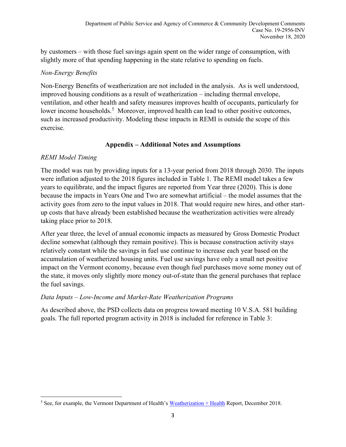by customers – with those fuel savings again spent on the wider range of consumption, with slightly more of that spending happening in the state relative to spending on fuels.

### *Non-Energy Benefits*

Non-Energy Benefits of weatherization are not included in the analysis. As is well understood, improved housing conditions as a result of weatherization – including thermal envelope, ventilation, and other health and safety measures improves health of occupants, particularly for lower income households.<sup>[5](#page-2-0)</sup> Moreover, improved health can lead to other positive outcomes, such as increased productivity. Modeling these impacts in REMI is outside the scope of this exercise.

### **Appendix – Additional Notes and Assumptions**

## *REMI Model Timing*

The model was run by providing inputs for a 13-year period from 2018 through 2030. The inputs were inflation adjusted to the 2018 figures included in Table 1. The REMI model takes a few years to equilibrate, and the impact figures are reported from Year three (2020). This is done because the impacts in Years One and Two are somewhat artificial – the model assumes that the activity goes from zero to the input values in 2018. That would require new hires, and other startup costs that have already been established because the weatherization activities were already taking place prior to 2018.

After year three, the level of annual economic impacts as measured by Gross Domestic Product decline somewhat (although they remain positive). This is because construction activity stays relatively constant while the savings in fuel use continue to increase each year based on the accumulation of weatherized housing units. Fuel use savings have only a small net positive impact on the Vermont economy, because even though fuel purchases move some money out of the state, it moves only slightly more money out-of-state than the general purchases that replace the fuel savings.

### *Data Inputs – Low-Income and Market-Rate Weatherization Programs*

As described above, the PSD collects data on progress toward meeting 10 V.S.A. 581 building goals. The full reported program activity in 2018 is included for reference in Table 3:

<span id="page-2-0"></span> $5$  See, for example, the Vermont Department of Health's [Weatherization + Health](https://www.healthvermont.gov/sites/default/files/documents/pdf/ENV_CH_WxHealthReport.pdf) Report, December 2018.